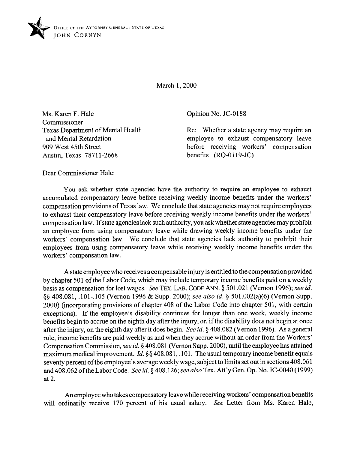

March 1,200O

Ms. Karen F. Hale Commissioner Texas Department of Mental Health and Mental Retardation 909 West 45th Street Austin, Texas 78711-2668

Opinion No. JC-0188

Re: Whether a state agency may require an employee to exhaust compensatory leave before receiving workers' compensation benefits (RQ-0119-JC)

Dear Commissioner Hale:

You ask whether state agencies have the authority to require an employee to exhaust accumulated compensatory leave before receiving weekly income benefits under the workers' compensation provisions of Texas law. We conclude that state agencies may not require employees to exhaust their compensatory leave before receiving weekly income benefits under the workers' compensation law. If state agencies lack such authority, you ask whether state agencies may prohibit an employee from using compensatory leave while drawing weekly income benefits under the workers' compensation law. We conclude that state agencies lack authority to prohibit their employees from using compensatory leave while receiving weekly income benefits under the workers' compensation law.

A state employee who receives a compensable injury is entitled to the compensation provided by chapter 501 of the Labor Code, which may include temporary income benefits paid on a weekly basis as compensation for lost wages. See TEX. LAB. CODE ANN. 5 501.021 (Vernon 1996); see *id.*  \$5 408.081, .lOl-,105 (Vernon 1996 & Supp. 2000); see *also id.* 5 501.002(a)(6) (Vernon Supp. 2000) (incorporating provisions of chapter 408 of the Labor Code into chapter 501, with certain exceptions). If the employee's disability continues for longer than one week, weekly income benefits begin to accrue on the eighth day after the injury, or, if the disability does not begin at once after the injury, on the eighth day after it does begin. See *id.* 5 408.082 (Vernon 1996). As a general rule, income benefits are paid weekly as and when they accrue without an order from the Workers' Compensation Commission, see *id.* 5 408.081 (Vernon Supp. ZOOO), until the employee has attained maximum medical improvement. *Id.* §§ 408.081, .101. The usual temporary income benefit equals seventy percent ofthe employee's average weekly wage, **subject to** limits set out in sections 408.061 and 408.062 ofthe Labor Code. See *id.* § 408.126; see also Tex. Att'y Gen. Gp. No. JC-0040 (1999) at 2.

An employee who takes compensatory leave while receiving workers' compensation benefits will ordinarily receive 170 percent of his usual salary. See Letter from Ms. Karen Hale,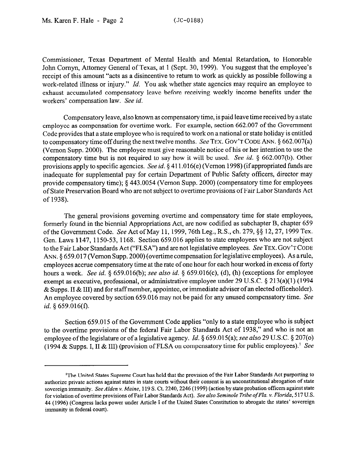Commissioner, Texas Department of Mental Health and Mental Retardation, to Honorable John Comyn, Attorney General of Texas, at 1 (Sept. 30, 1999). You suggest that the employee's receipt of this amount "acts as a disincentive to return to work as quickly as possible following a work-related illness or injury." *Id.* You ask whether state agencies may require an employee to exhaust accumulated compensatory leave before receiving weekly income benefits under the workers' compensation law. See *id.* 

Compensatory leave, also known as compensatory time, is paid leave time received by a state employee as compensation for overtime work. For example, section 662.007 of the Government Code provides that a state employee who is required to work on a national or state holiday is entitled to compensatory time off during the next twelve months, See TEX. GOV'T CODE ANN.  $\S 662.007(a)$ (Vernon Supp. 2000). The employee must give reasonable notice of his or her intention to use the compensatory time but is not required to say how it will be used. See *id.* 5 662.007(b). Other provisions apply to specific agencies. See *id.* 5 411.016(e) (Vernon 1998) (if appropriated funds are inadequate for supplemental pay for certain Department of Public Safety officers, director may provide compensatory time); § 443.0054 (Vernon Supp. 2000) (compensatory time for employees of State Preservation Board who are not subject to overtime provisions of Fair Labor Standards Act of 1938).

The general provisions governing overtime and compensatory time for state employees, formerly found in the biennial Appropriations Act, are now codified as subchapter B, chapter 659 of the Government Code. See Act of May 11,1999,76th Leg., R.S., ch. 279, \$5 12,27,1999 Tex. Gen. Laws 1147, 1150-53, 1168. Section 659.016 applies to state employees who are not subject to the Fair Labor Standards Act ("FLSA") and are not legislative employees. See TEX. GOV'TCODE ANN. 8 659.017 (Vernon Supp. 2000) (overtime compensation for legislative employees). As arule, employees accrue compensatory time at the rate of one hour for each hour worked in excess of forty hours a week. See *id.* \$ 659.016(b); see also *id.* 5 659.016(c), (d), (h) (exceptions for employee exempt as executive, professional, or administrative employee under 29 U.S.C. § 213(a)(1) (1994  $\&$  Supps. II  $\&$  III) and for staff member, appointee, or immediate adviser of an elected officeholder). An employee covered by section 659.016 may not be paid for any unused compensatory time. See *id. 5* 659.016(f).

Section 659.015 of the Government Code applies "only to a state employee who is subject to the overtime provisions of the federal Fair Labor Standards Act of 1938," and who is not an employee of the legislature or of a legislative agency. *Id.* § 659.015(a); see also 29 U.S.C. § 207(o) (1994 & Supps. I, II & III) (provision of FLSA on compensatory time for public employees).<sup>1</sup> See

<sup>&#</sup>x27;The United States Supreme Court has held that the provision of the Fair Labor Standards Act purporting to authorize private actions against states in state courts without their consent is an unconstitutional abrogation of state sovereign immunity. See Alden v. Maine, 119 S. Ct. 2240, 2246 (1999) (action by state probation officers against state for violation of overtime provisions of Fair Labor Standards Act). *See also Seminole Tribe ofFlu. v. Florida, 5* 17 US. 44 (1996) (Congress lacks power under Article I of the United States Constitution to abrogate the states' sovereign immunity in federal court).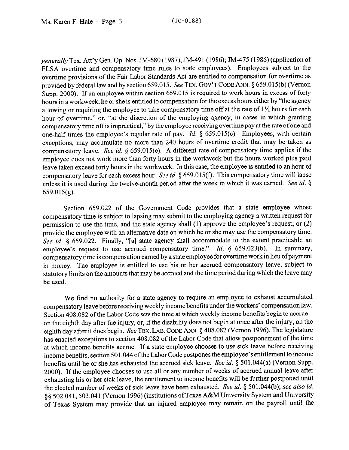generally Tex. Att'y Gen. Op. Nos. JM-680 (1987); JM-491 (1986); JM-475 (1986) (applicationof FLSA overtime and compensatory time rules to state employees). Employees subject to the overtime provisions of the Fair Labor Standards Act are entitled to compensation for overtime as provided by federal law and by section 659.015. See TEX. GOV'T CODE ANN. § 659.015(b) (Vernon Supp. 2000). If an employee within section 659.015 is required to work hours in excess of forty hours in a workweek, he or she is entitled to compensation for the excess hours either by "the agency allowing or requiring the employee to take compensatory time off at the rate of  $1\frac{1}{2}$  hours for each hour of overtime," or, "at the discretion of the employing agency, in cases in which granting compensatory time off is impractical," by the employee receiving overtime pay at the rate of one and one-half times the employee's regular rate of pay. *Id.* § 659.015(c). Employees, with certain exceptions, may accumulate no more than 240 hours of overtime credit that may be taken as compensatory leave. See *id.* 5 659.015(e). A different rate of compensatory time applies if the employee does not work more than forty hours in the workweek but the hours worked plus paid leave taken exceed forty hours in the workweek. In this case, the employee is entitled to an hour of compensatory leave for each excess hour. See *id.* \$659.015(f). This compensatory time will lapse unless it is used during the twelve-month period after the week in which it was earned. See *id. §*  659.015(g).

Section 659.022 of the Government Code provides that a state employee whose compensatory time is subject to lapsing may submit to the employing agency a written request for permission to use the time, and the state agency shall (1) approve the employee's request; or (2) provide the employee with an alternative date on which he or she may use the compensatory time. See *id.* § 659.022. Finally, "[a] state agency shall accommodate to the extent practicable an employee's request to use accrued compensatory time." *Id.* § 659.023(b). In summary, compensatory time is compensation earned by a state employee for overtime work in lieu ofpayment in money. The employee is entitled to use his or her accrued compensatory leave, subject to statutory limits on the amounts that may be accrued and the time period during which the leave may be used.

We find no authority for a state agency to require an employee to exhaust accumulated compensatory leave before receiving weekly income benefits under the workers' compensation law. Section 408.082 of the Labor Code sets the time at which weekly income benefits begin to accrue on the eighth day after the injury, or, if the disability does not begin at once after the injury, on the eighth day after it does begin. See TEX. LAB. CODE ANN. § 408.082 (Vernon 1996). The legislature has enacted exceptions to section 408.082 of the Labor Code that allow postponement of the time at which income benefits accrue. If a state employee chooses to use sick leave before receiving income benefits, section 501.044 ofthe Labor Code postpones the employee's entitlement to income benefits until he or she has exhausted the accrued sick leave. See *id.* 5 501.044(a) (Vernon Supp. 2000). If the employee chooses to use all or any number of weeks of accrued annual leave after exhausting his or her sick leave, the entitlement to income benefits will be further postponed until the elected number of weeks of sick leave have been exhausted. See *id. \$* 501.044(b); see also *id.*  §§ 502.041, 503.041 (Vernon 1996) (institutions of Texas A&M University System and University of Texas System may provide that an injured employee may remain on the payroll until the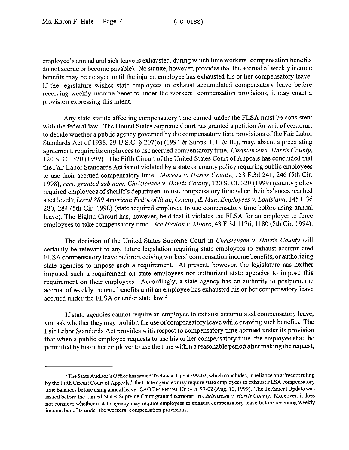employee's annual and sick leave is exhausted, during which time workers' compensation benefits do not accrue or become payable). No statute, however, provides that the accrual of weekly income benefits may be delayed until the injured employee has exhausted his or her compensatory leave. If the legislature wishes state employees to exhaust accumulated compensatory leave before receiving weekly income benefits under the workers' compensation provisions, it may enact a provision expressing this intent.

Any state statute affecting compensatory time earned under the FLSA must be consistent with the federal law. The United States Supreme Court has granted a petition for writ of certiorari to decide whether a public agency governed by the compensatory time provisions ofthe Fair Labor Standards Act of 1938, 29 U.S.C.  $\S 207$ (o) (1994 & Supps. I, II & III), may, absent a preexisting agreement, require its employees to use accrued compensatory time. *Christensen Y. Harris County,*  120 S. Ct. 320 (1999). The Fifth Circuit of the United States Court of Appeals has concluded that the Fair Labor Standards Act is not violated by a state or county policy requiring public employees to use their accrued compensatory time. *Moreau v. Harris County,* 158 F.3d 241, 246 (5th Cir. 1998), *cert. granted sub nom. Christensen Y. Harris County,* 120 S. Ct. 320 (1999) (county policy required employees of sheriff's department to use compensatory time when their balances reached a set level); *Local 889American Fed'n ofState, County, & Mun. Employees Y. Louisiana,* 145 F.3d 280, 284 (5th Cir. 1998) (state required employee to use compensatory time before using annual leave). The Eighth Circuit has, however, held that it violates the FLSA for an employer to force employees to take compensatory time. See *Heaton v. Moore, 43* F.3d 1176, 1180 (8th Cir. 1994).

The decision of the United States Supreme *Court* in *Christensen v. Harris* County will certainly be relevant to any future legislation requiring state employees to exhaust accumulated FLSA compensatory leave before receiving workers' compensation income benefits, or authorizing state agencies to impose such a requirement. At present, however, the legislature has neither imposed such a requirement on state employees nor authorized state agencies to impose this requirement on their employees. Accordingly, a state agency has no authority to postpone the accrual of weekly income benefits until an employee has exhausted his or her compensatory leave accrued under the FLSA or under state law.<sup>2</sup>

If state agencies cannot require an employee to exhaust accumulated compensatory leave, you ask whether they may prohibit the use of compensatory leave while drawing such benefits. The Fair Labor Standards Act provides with respect to compensatory time accrued under its provision that when a public employee requests to use his or her compensatory time, the employee shall be permitted by his or her employer to use the time within a reasonable period after making the request,

<sup>&</sup>lt;sup>2</sup>The State Auditor's Office has issued Technical Update 99-02, which concludes, in reliance on a "recent ruling by the Fifth Circuit Court of Appeals," that state agencies may require state employees to exhaust FLSA compensatory time balances before using annual leave. SAO TECHNICAL UPDATE 99-02 (Aug. 10, 1999). The Technical Update was issued before the United States Supreme Court granted certiorari in Christensen v. Harris County. Moreover, it does not consider whether a state agency may require employees to exhaust compensatory leave before receiving weekly income benefits under the workers' compensation provisions.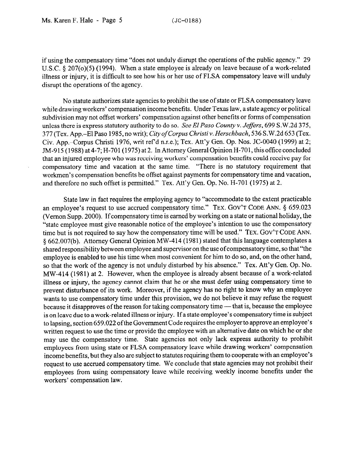if using the compensatory time "does not unduly disrupt the operations of the public agency." 29 U.S.C. § 207(o)(5) (1994). When a state employee is already on leave because of a work-related illness or injury, it is difficult to see how his or her use of FLSA compensatory leave will unduly disrupt the operations of the agency.

No statute authorizes state agencies to prohibit the use of state or FLSA compensatory leave while drawing workers' compensation income benefits. Under Texas law, a state agency or political subdivision may not offset workers' compensation against other benefits or forms of compensation unless there is express statutory authority to do *so. See El Paso County v. Jeffes, 699* S.W.2d 375, 377 (Tex. App.-El Paso 1985, no writ); *City of Corpus Christi Y. Herschbach, 536* S.W.2d 653 (Tex. Civ. App.-Corpus Christi 1976, writ ref'd n.r.e.); Tex. Att'y Gen. Op. Nos. JC-0040 (1999) at 2; JM-915 (1988) at 4-7; H-701 (1975) at 2. In Attorney General Opinion H-701, this office concluded that an injured employee who was receiving workers' compensation benefits could receive pay for compensatory time and vacation at the same time. "There is no statutory requirement that workmen's compensation benefits be offset against payments for compensatory time and vacation, and therefore no such offset is permitted." Tex. Att'y Gen. Op. No. H-701 (1975) at 2.

State law in fact requires the employing agency to "accommodate to the extent practicable an employee's request to use accrued compensatory time." **TEX. GOV'T CODE ANN. 5 659.023**  (Vernon Supp. 2000). Ifcompensatory time is earned by working on a state or national holiday, the "state employee must give reasonable notice of the employee's intention to use the compensatory time but is not required to say how the compensatory time will be used." **TEX. GOV'T CODE ANN.**  5 662.007(b). Attorney General Opinion MW-414 (1981) stated that this language contemplates a shared responsibility between employee and supervisor on the use of compensatory time, so that "the employee is enabled to use his time when most convenient for him to do so, and, on the other hand, so that the work of the agency is not unduly disturbed by his absence." Tex. Att'y Gen. Op. No. MW-414 (1981) at 2. However, when the employee is already absent because of a work-related illness or injury, the agency cannot claim that he or she must defer using compensatory time to prevent disturbance of its work. Moreover, if the agency has no right to know why an employee wants to use compensatory time under this provision, we do not believe it may refuse the request because it disapproves of the reason for taking compensatory time — that is, because the employee is on leave due to a work-related illness or injury. If a state employee's compensatory time is subject to lapsing, section 659.022 ofthe Government Code requires the employer to approve an employee's written request to use the time or provide the employee with an alternative date on which he or she may use the compensatory time. State agencies not only lack express authority to prohibit employees from using state or FLSA compensatory leave while drawing workers' compensation income benefits, but they also are subject to statutes requiring them to cooperate with an employee's request to use accrued compensatory time. We conclude that state agencies may not prohibit their employees from using compensatory leave while receiving weekly income benefits under the workers' compensation law.